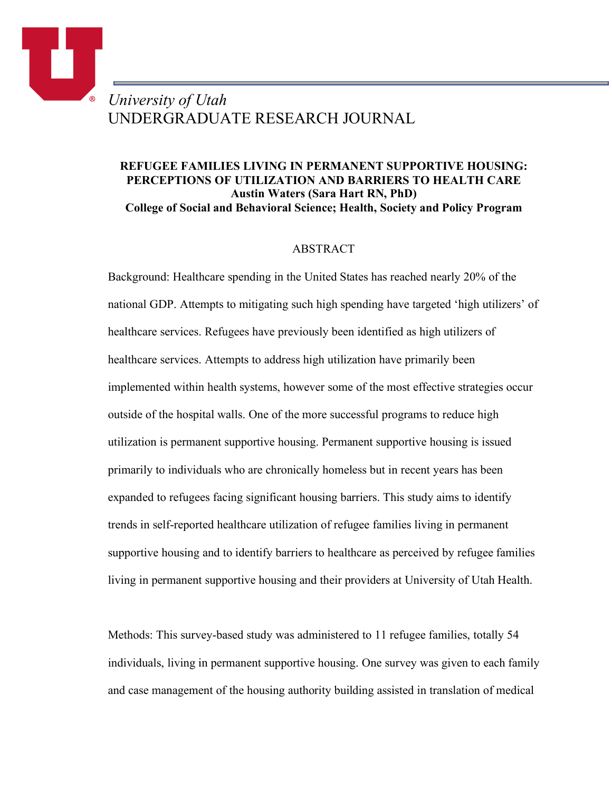# *University of Utah* UNDERGRADUATE RESEARCH JOURNAL

o.

# **REFUGEE FAMILIES LIVING IN PERMANENT SUPPORTIVE HOUSING: PERCEPTIONS OF UTILIZATION AND BARRIERS TO HEALTH CARE Austin Waters (Sara Hart RN, PhD) College of Social and Behavioral Science; Health, Society and Policy Program**

# ABSTRACT

Background: Healthcare spending in the United States has reached nearly 20% of the national GDP. Attempts to mitigating such high spending have targeted 'high utilizers' of healthcare services. Refugees have previously been identified as high utilizers of healthcare services. Attempts to address high utilization have primarily been implemented within health systems, however some of the most effective strategies occur outside of the hospital walls. One of the more successful programs to reduce high utilization is permanent supportive housing. Permanent supportive housing is issued primarily to individuals who are chronically homeless but in recent years has been expanded to refugees facing significant housing barriers. This study aims to identify trends in self-reported healthcare utilization of refugee families living in permanent supportive housing and to identify barriers to healthcare as perceived by refugee families living in permanent supportive housing and their providers at University of Utah Health.

Methods: This survey-based study was administered to 11 refugee families, totally 54 individuals, living in permanent supportive housing. One survey was given to each family and case management of the housing authority building assisted in translation of medical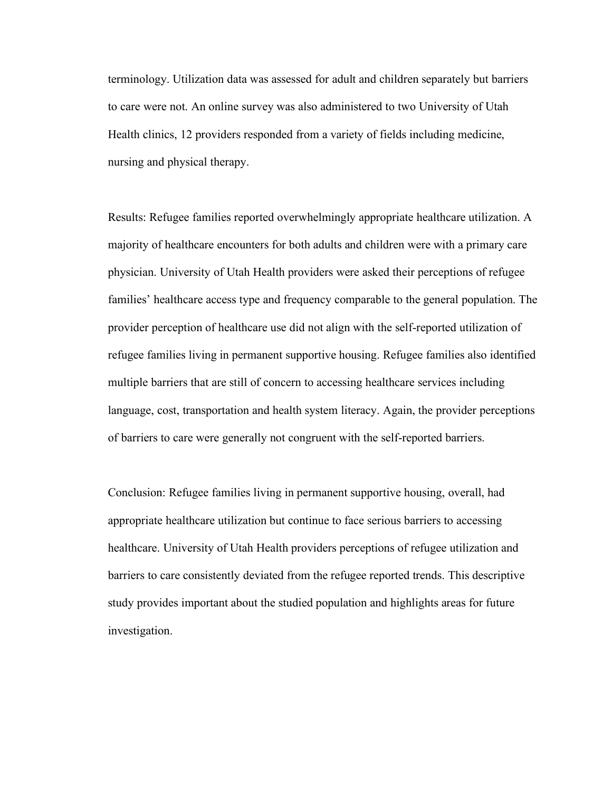terminology. Utilization data was assessed for adult and children separately but barriers to care were not. An online survey was also administered to two University of Utah Health clinics, 12 providers responded from a variety of fields including medicine, nursing and physical therapy.

Results: Refugee families reported overwhelmingly appropriate healthcare utilization. A majority of healthcare encounters for both adults and children were with a primary care physician. University of Utah Health providers were asked their perceptions of refugee families' healthcare access type and frequency comparable to the general population. The provider perception of healthcare use did not align with the self-reported utilization of refugee families living in permanent supportive housing. Refugee families also identified multiple barriers that are still of concern to accessing healthcare services including language, cost, transportation and health system literacy. Again, the provider perceptions of barriers to care were generally not congruent with the self-reported barriers.

Conclusion: Refugee families living in permanent supportive housing, overall, had appropriate healthcare utilization but continue to face serious barriers to accessing healthcare. University of Utah Health providers perceptions of refugee utilization and barriers to care consistently deviated from the refugee reported trends. This descriptive study provides important about the studied population and highlights areas for future investigation.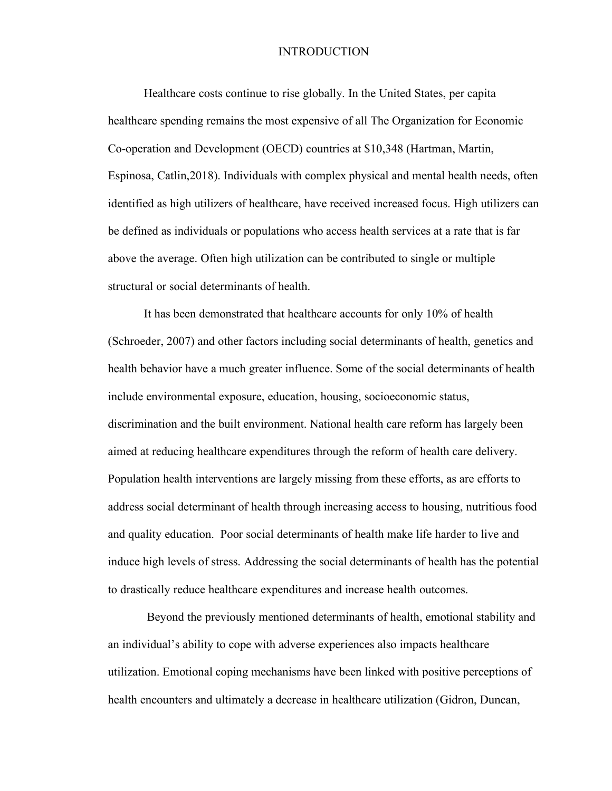#### INTRODUCTION

Healthcare costs continue to rise globally. In the United States, per capita healthcare spending remains the most expensive of all The Organization for Economic Co-operation and Development (OECD) countries at \$10,348 (Hartman, Martin, Espinosa, Catlin,2018). Individuals with complex physical and mental health needs, often identified as high utilizers of healthcare, have received increased focus. High utilizers can be defined as individuals or populations who access health services at a rate that is far above the average. Often high utilization can be contributed to single or multiple structural or social determinants of health.

It has been demonstrated that healthcare accounts for only 10% of health (Schroeder, 2007) and other factors including social determinants of health, genetics and health behavior have a much greater influence. Some of the social determinants of health include environmental exposure, education, housing, socioeconomic status, discrimination and the built environment. National health care reform has largely been aimed at reducing healthcare expenditures through the reform of health care delivery. Population health interventions are largely missing from these efforts, as are efforts to address social determinant of health through increasing access to housing, nutritious food and quality education. Poor social determinants of health make life harder to live and induce high levels of stress. Addressing the social determinants of health has the potential to drastically reduce healthcare expenditures and increase health outcomes.

Beyond the previously mentioned determinants of health, emotional stability and an individual's ability to cope with adverse experiences also impacts healthcare utilization. Emotional coping mechanisms have been linked with positive perceptions of health encounters and ultimately a decrease in healthcare utilization (Gidron, Duncan,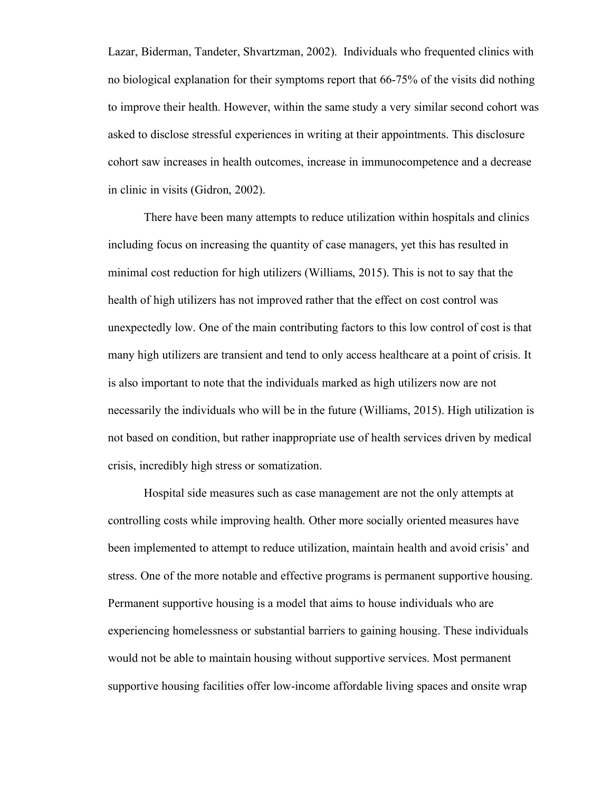Lazar, Biderman, Tandeter, Shvartzman, 2002). Individuals who frequented clinics with no biological explanation for their symptoms report that 66-75% of the visits did nothing to improve their health. However, within the same study a very similar second cohort was asked to disclose stressful experiences in writing at their appointments. This disclosure cohort saw increases in health outcomes, increase in immunocompetence and a decrease in clinic in visits (Gidron, 2002).

There have been many attempts to reduce utilization within hospitals and clinics including focus on increasing the quantity of case managers, yet this has resulted in minimal cost reduction for high utilizers (Williams, 2015). This is not to say that the health of high utilizers has not improved rather that the effect on cost control was unexpectedly low. One of the main contributing factors to this low control of cost is that many high utilizers are transient and tend to only access healthcare at a point of crisis. It is also important to note that the individuals marked as high utilizers now are not necessarily the individuals who will be in the future (Williams, 2015). High utilization is not based on condition, but rather inappropriate use of health services driven by medical crisis, incredibly high stress or somatization.

Hospital side measures such as case management are not the only attempts at controlling costs while improving health. Other more socially oriented measures have been implemented to attempt to reduce utilization, maintain health and avoid crisis' and stress. One of the more notable and effective programs is permanent supportive housing. Permanent supportive housing is a model that aims to house individuals who are experiencing homelessness or substantial barriers to gaining housing. These individuals would not be able to maintain housing without supportive services. Most permanent supportive housing facilities offer low-income affordable living spaces and onsite wrap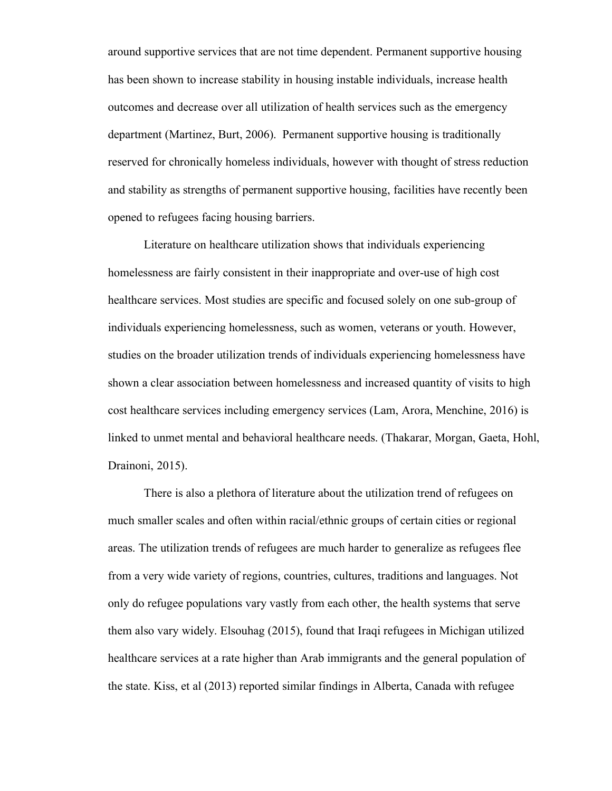around supportive services that are not time dependent. Permanent supportive housing has been shown to increase stability in housing instable individuals, increase health outcomes and decrease over all utilization of health services such as the emergency department (Martinez, Burt, 2006). Permanent supportive housing is traditionally reserved for chronically homeless individuals, however with thought of stress reduction and stability as strengths of permanent supportive housing, facilities have recently been opened to refugees facing housing barriers.

Literature on healthcare utilization shows that individuals experiencing homelessness are fairly consistent in their inappropriate and over-use of high cost healthcare services. Most studies are specific and focused solely on one sub-group of individuals experiencing homelessness, such as women, veterans or youth. However, studies on the broader utilization trends of individuals experiencing homelessness have shown a clear association between homelessness and increased quantity of visits to high cost healthcare services including emergency services (Lam, Arora, Menchine, 2016) is linked to unmet mental and behavioral healthcare needs. (Thakarar, Morgan, Gaeta, Hohl, Drainoni, 2015).

There is also a plethora of literature about the utilization trend of refugees on much smaller scales and often within racial/ethnic groups of certain cities or regional areas. The utilization trends of refugees are much harder to generalize as refugees flee from a very wide variety of regions, countries, cultures, traditions and languages. Not only do refugee populations vary vastly from each other, the health systems that serve them also vary widely. Elsouhag (2015), found that Iraqi refugees in Michigan utilized healthcare services at a rate higher than Arab immigrants and the general population of the state. Kiss, et al (2013) reported similar findings in Alberta, Canada with refugee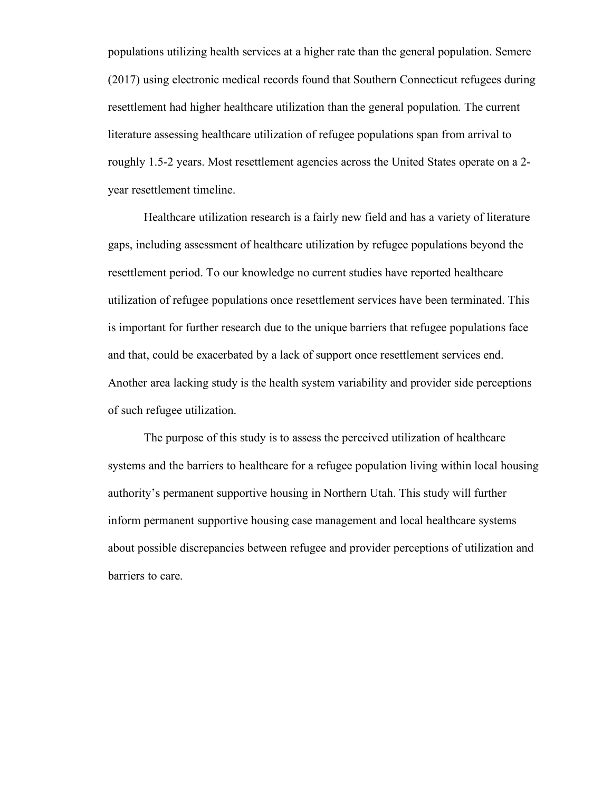populations utilizing health services at a higher rate than the general population. Semere (2017) using electronic medical records found that Southern Connecticut refugees during resettlement had higher healthcare utilization than the general population. The current literature assessing healthcare utilization of refugee populations span from arrival to roughly 1.5-2 years. Most resettlement agencies across the United States operate on a 2 year resettlement timeline.

Healthcare utilization research is a fairly new field and has a variety of literature gaps, including assessment of healthcare utilization by refugee populations beyond the resettlement period. To our knowledge no current studies have reported healthcare utilization of refugee populations once resettlement services have been terminated. This is important for further research due to the unique barriers that refugee populations face and that, could be exacerbated by a lack of support once resettlement services end. Another area lacking study is the health system variability and provider side perceptions of such refugee utilization.

The purpose of this study is to assess the perceived utilization of healthcare systems and the barriers to healthcare for a refugee population living within local housing authority's permanent supportive housing in Northern Utah. This study will further inform permanent supportive housing case management and local healthcare systems about possible discrepancies between refugee and provider perceptions of utilization and barriers to care.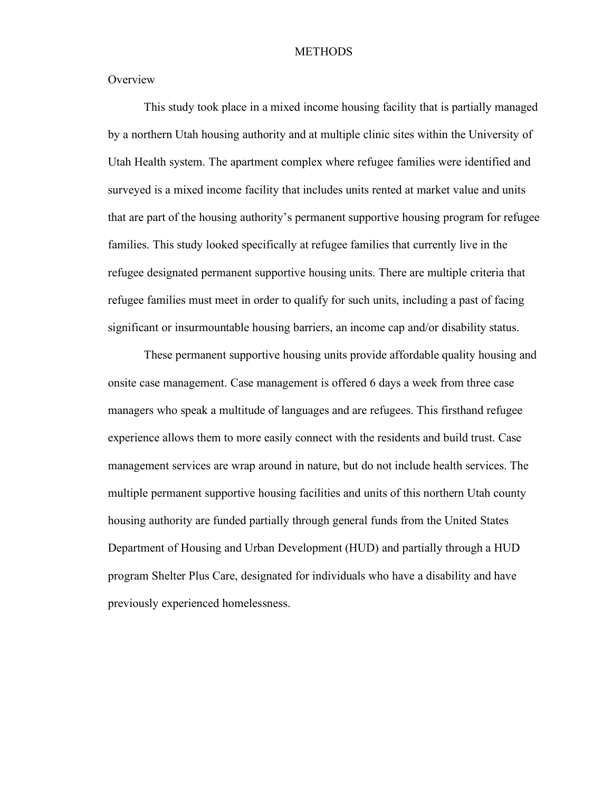#### **METHODS**

**Overview** 

This study took place in a mixed income housing facility that is partially managed by a northern Utah housing authority and at multiple clinic sites within the University of Utah Health system. The apartment complex where refugee families were identified and surveyed is a mixed income facility that includes units rented at market value and units that are part of the housing authority's permanent supportive housing program for refugee families. This study looked specifically at refugee families that currently live in the refugee designated permanent supportive housing units. There are multiple criteria that refugee families must meet in order to qualify for such units, including a past of facing significant or insurmountable housing barriers, an income cap and/or disability status.

These permanent supportive housing units provide affordable quality housing and onsite case management. Case management is offered 6 days a week from three case managers who speak a multitude of languages and are refugees. This firsthand refugee experience allows them to more easily connect with the residents and build trust. Case management services are wrap around in nature, but do not include health services. The multiple permanent supportive housing facilities and units of this northern Utah county housing authority are funded partially through general funds from the United States Department of Housing and Urban Development (HUD) and partially through a HUD program Shelter Plus Care, designated for individuals who have a disability and have previously experienced homelessness.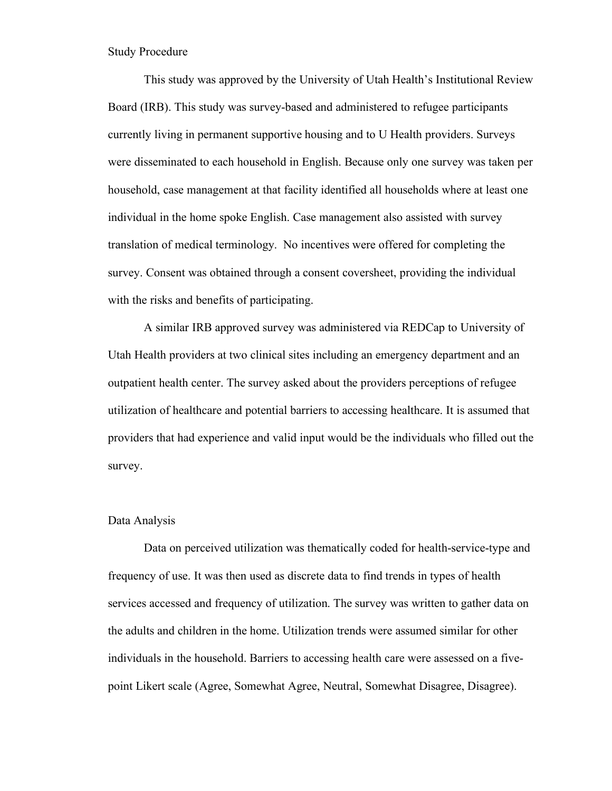Study Procedure

This study was approved by the University of Utah Health's Institutional Review Board (IRB). This study was survey-based and administered to refugee participants currently living in permanent supportive housing and to U Health providers. Surveys were disseminated to each household in English. Because only one survey was taken per household, case management at that facility identified all households where at least one individual in the home spoke English. Case management also assisted with survey translation of medical terminology. No incentives were offered for completing the survey. Consent was obtained through a consent coversheet, providing the individual with the risks and benefits of participating.

A similar IRB approved survey was administered via REDCap to University of Utah Health providers at two clinical sites including an emergency department and an outpatient health center. The survey asked about the providers perceptions of refugee utilization of healthcare and potential barriers to accessing healthcare. It is assumed that providers that had experience and valid input would be the individuals who filled out the survey.

#### Data Analysis

Data on perceived utilization was thematically coded for health-service-type and frequency of use. It was then used as discrete data to find trends in types of health services accessed and frequency of utilization. The survey was written to gather data on the adults and children in the home. Utilization trends were assumed similar for other individuals in the household. Barriers to accessing health care were assessed on a fivepoint Likert scale (Agree, Somewhat Agree, Neutral, Somewhat Disagree, Disagree).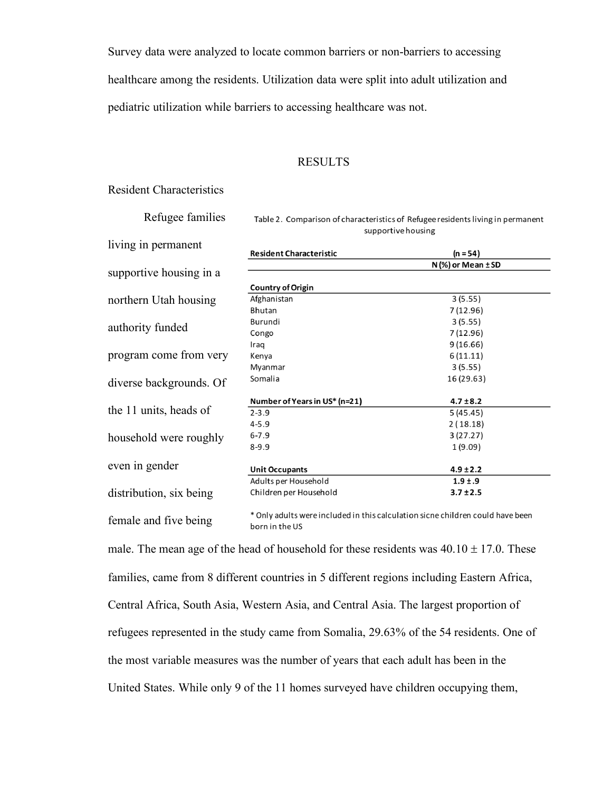Survey data were analyzed to locate common barriers or non-barriers to accessing

healthcare among the residents. Utilization data were split into adult utilization and

pediatric utilization while barriers to accessing healthcare was not.

#### RESULTS

## Resident Characteristics

Refugee families

Table 2. Comparison of characteristics of Refugee residents living in permanent supportive housing

| living in permanent     | <b>Resident Characteristic</b>                                                                   | $(n = 54)$               |
|-------------------------|--------------------------------------------------------------------------------------------------|--------------------------|
|                         |                                                                                                  | $N$ (%) or Mean $\pm$ SD |
| supportive housing in a |                                                                                                  |                          |
|                         | <b>Country of Origin</b>                                                                         |                          |
| northern Utah housing   | Afghanistan                                                                                      | 3(5.55)                  |
|                         | Bhutan                                                                                           | 7(12.96)                 |
|                         | Burundi                                                                                          | 3(5.55)                  |
| authority funded        | Congo                                                                                            | 7 (12.96)                |
|                         | Iraq                                                                                             | 9(16.66)                 |
| program come from very  | Kenya                                                                                            | 6(11.11)                 |
|                         | Myanmar                                                                                          | 3(5.55)                  |
| diverse backgrounds. Of | Somalia                                                                                          | 16 (29.63)               |
|                         | Number of Years in US* (n=21)                                                                    | $4.7 \pm 8.2$            |
| the 11 units, heads of  | $2 - 3.9$                                                                                        | 5(45.45)                 |
|                         | $4 - 5.9$                                                                                        | 2(18.18)                 |
| household were roughly  | $6 - 7.9$                                                                                        | 3(27.27)                 |
|                         | $8 - 9.9$                                                                                        | 1(9.09)                  |
| even in gender          | <b>Unit Occupants</b>                                                                            | $4.9 \pm 2.2$            |
|                         | Adults per Household                                                                             | $1.9 \pm .9$             |
| distribution, six being | Children per Household                                                                           | $3.7 \pm 2.5$            |
| female and five being   | * Only adults were included in this calculation sicne children could have been<br>والمطه وتمسمها |                          |

Only adults were included in this calculation sicne children could have been born in the US

male. The mean age of the head of household for these residents was  $40.10 \pm 17.0$ . These families, came from 8 different countries in 5 different regions including Eastern Africa, Central Africa, South Asia, Western Asia, and Central Asia. The largest proportion of refugees represented in the study came from Somalia, 29.63% of the 54 residents. One of the most variable measures was the number of years that each adult has been in the United States. While only 9 of the 11 homes surveyed have children occupying them,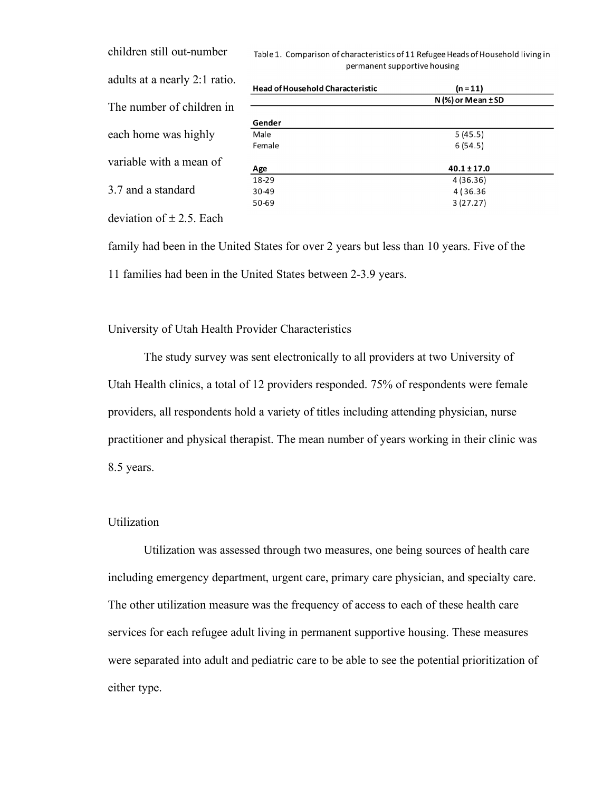children still out-number adults at a nearly 2:1 ratio. The number of children in each home was highly variable with a mean of 3.7 and a standard

| Fable 1. Comparison of characteristics of 11 Refugee Heads of Household living in |
|-----------------------------------------------------------------------------------|
| permanent supportive housing                                                      |

| <b>Head of Household Characteristic</b> | $(n = 11)$               |  |  |  |
|-----------------------------------------|--------------------------|--|--|--|
|                                         | $N$ (%) or Mean $\pm$ SD |  |  |  |
|                                         |                          |  |  |  |
| Gender                                  |                          |  |  |  |
| Male                                    | 5(45.5)                  |  |  |  |
| Female                                  | 6(54.5)                  |  |  |  |
|                                         |                          |  |  |  |
| Age                                     | $40.1 \pm 17.0$          |  |  |  |
| 18-29                                   | 4 (36.36)                |  |  |  |
| 30-49                                   | 4 (36.36)                |  |  |  |
| 50-69                                   | 3(27.27)                 |  |  |  |
|                                         |                          |  |  |  |

deviation of  $\pm$  2.5. Each

family had been in the United States for over 2 years but less than 10 years. Five of the 11 families had been in the United States between 2-3.9 years.

University of Utah Health Provider Characteristics

The study survey was sent electronically to all providers at two University of Utah Health clinics, a total of 12 providers responded. 75% of respondents were female providers, all respondents hold a variety of titles including attending physician, nurse practitioner and physical therapist. The mean number of years working in their clinic was 8.5 years.

## Utilization

Utilization was assessed through two measures, one being sources of health care including emergency department, urgent care, primary care physician, and specialty care. The other utilization measure was the frequency of access to each of these health care services for each refugee adult living in permanent supportive housing. These measures were separated into adult and pediatric care to be able to see the potential prioritization of either type.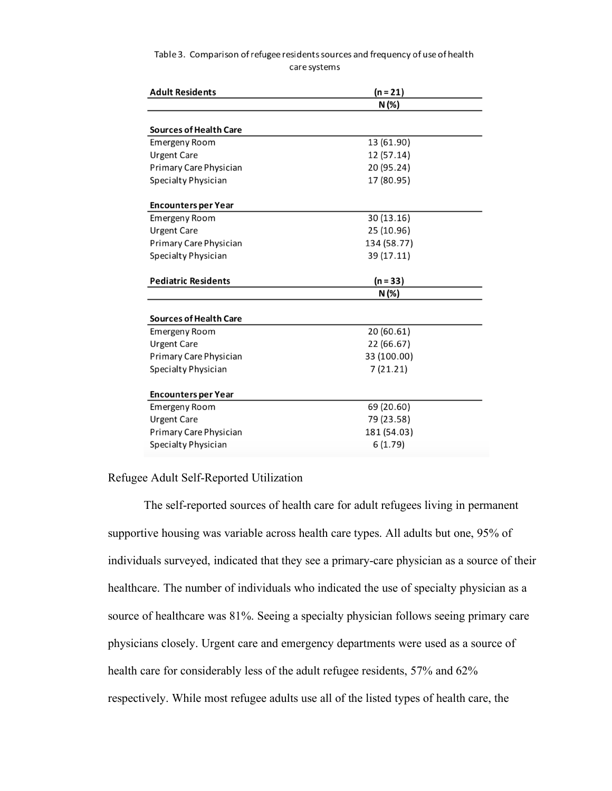| Table 3. Comparison of refugee residents sources and frequency of use of health |
|---------------------------------------------------------------------------------|
| care systems                                                                    |

| <b>Adult Residents</b>        | $(n = 21)$  |  |  |  |
|-------------------------------|-------------|--|--|--|
|                               | N(%)        |  |  |  |
|                               |             |  |  |  |
| <b>Sources of Health Care</b> |             |  |  |  |
| Emergeny Room                 | 13 (61.90)  |  |  |  |
| <b>Urgent Care</b>            | 12 (57.14)  |  |  |  |
| Primary Care Physician        | 20 (95.24)  |  |  |  |
| Specialty Physician           | 17 (80.95)  |  |  |  |
| <b>Encounters per Year</b>    |             |  |  |  |
| <b>Emergeny Room</b>          | 30 (13.16)  |  |  |  |
| <b>Urgent Care</b>            | 25 (10.96)  |  |  |  |
| Primary Care Physician        | 134 (58.77) |  |  |  |
| Specialty Physician           | 39 (17.11)  |  |  |  |
| <b>Pediatric Residents</b>    | $(n = 33)$  |  |  |  |
|                               | N (%)       |  |  |  |
|                               |             |  |  |  |
| <b>Sources of Health Care</b> |             |  |  |  |
| <b>Emergeny Room</b>          | 20 (60.61)  |  |  |  |
| <b>Urgent Care</b>            | 22 (66.67)  |  |  |  |
| Primary Care Physician        | 33 (100.00) |  |  |  |
| Specialty Physician           | 7 (21.21)   |  |  |  |
| <b>Encounters per Year</b>    |             |  |  |  |
| <b>Emergeny Room</b>          | 69 (20.60)  |  |  |  |
|                               |             |  |  |  |
| <b>Urgent Care</b>            | 79 (23.58)  |  |  |  |
| Primary Care Physician        | 181 (54.03) |  |  |  |
| Specialty Physician           | 6(1.79)     |  |  |  |

## Refugee Adult Self-Reported Utilization

The self-reported sources of health care for adult refugees living in permanent supportive housing was variable across health care types. All adults but one, 95% of individuals surveyed, indicated that they see a primary-care physician as a source of their healthcare. The number of individuals who indicated the use of specialty physician as a source of healthcare was 81%. Seeing a specialty physician follows seeing primary care physicians closely. Urgent care and emergency departments were used as a source of health care for considerably less of the adult refugee residents, 57% and 62% respectively. While most refugee adults use all of the listed types of health care, the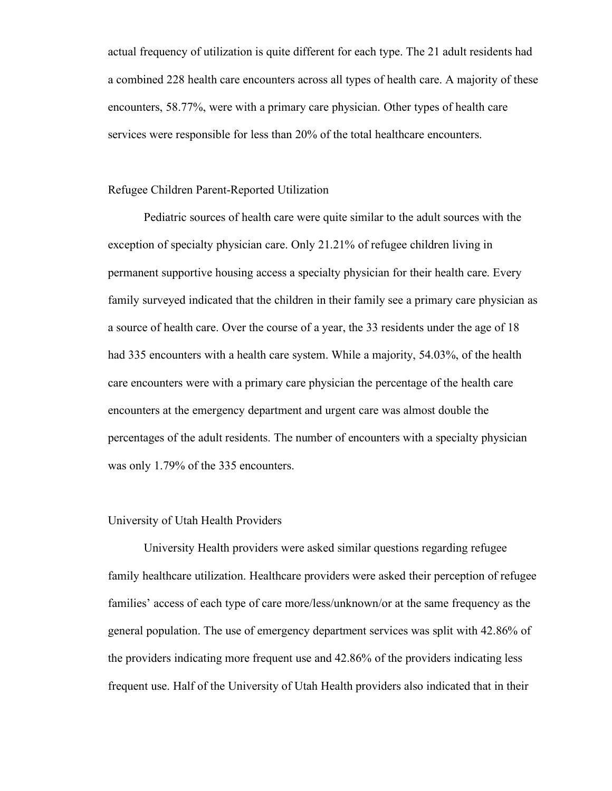actual frequency of utilization is quite different for each type. The 21 adult residents had a combined 228 health care encounters across all types of health care. A majority of these encounters, 58.77%, were with a primary care physician. Other types of health care services were responsible for less than 20% of the total healthcare encounters.

#### Refugee Children Parent-Reported Utilization

Pediatric sources of health care were quite similar to the adult sources with the exception of specialty physician care. Only 21.21% of refugee children living in permanent supportive housing access a specialty physician for their health care. Every family surveyed indicated that the children in their family see a primary care physician as a source of health care. Over the course of a year, the 33 residents under the age of 18 had 335 encounters with a health care system. While a majority, 54.03%, of the health care encounters were with a primary care physician the percentage of the health care encounters at the emergency department and urgent care was almost double the percentages of the adult residents. The number of encounters with a specialty physician was only 1.79% of the 335 encounters.

#### University of Utah Health Providers

University Health providers were asked similar questions regarding refugee family healthcare utilization. Healthcare providers were asked their perception of refugee families' access of each type of care more/less/unknown/or at the same frequency as the general population. The use of emergency department services was split with 42.86% of the providers indicating more frequent use and 42.86% of the providers indicating less frequent use. Half of the University of Utah Health providers also indicated that in their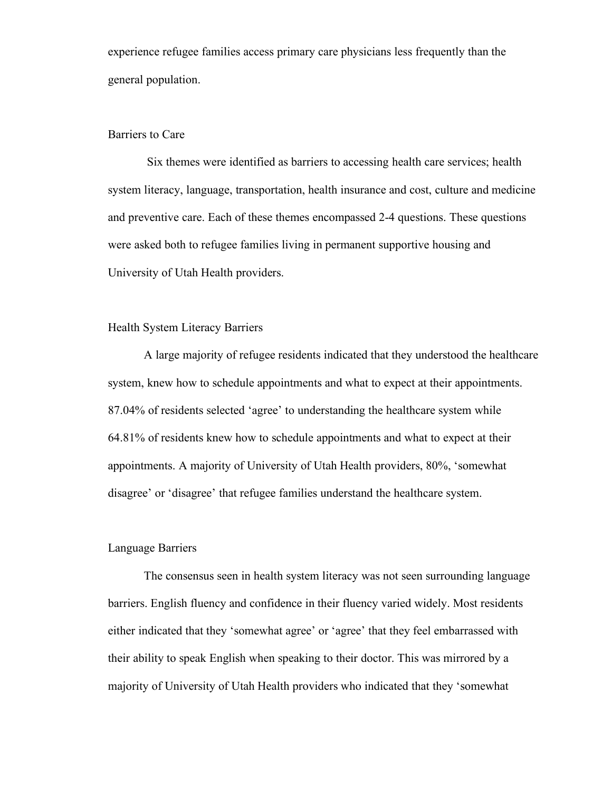experience refugee families access primary care physicians less frequently than the general population.

#### Barriers to Care

Six themes were identified as barriers to accessing health care services; health system literacy, language, transportation, health insurance and cost, culture and medicine and preventive care. Each of these themes encompassed 2-4 questions. These questions were asked both to refugee families living in permanent supportive housing and University of Utah Health providers.

## Health System Literacy Barriers

A large majority of refugee residents indicated that they understood the healthcare system, knew how to schedule appointments and what to expect at their appointments. 87.04% of residents selected 'agree' to understanding the healthcare system while 64.81% of residents knew how to schedule appointments and what to expect at their appointments. A majority of University of Utah Health providers, 80%, 'somewhat disagree' or 'disagree' that refugee families understand the healthcare system.

#### Language Barriers

The consensus seen in health system literacy was not seen surrounding language barriers. English fluency and confidence in their fluency varied widely. Most residents either indicated that they 'somewhat agree' or 'agree' that they feel embarrassed with their ability to speak English when speaking to their doctor. This was mirrored by a majority of University of Utah Health providers who indicated that they 'somewhat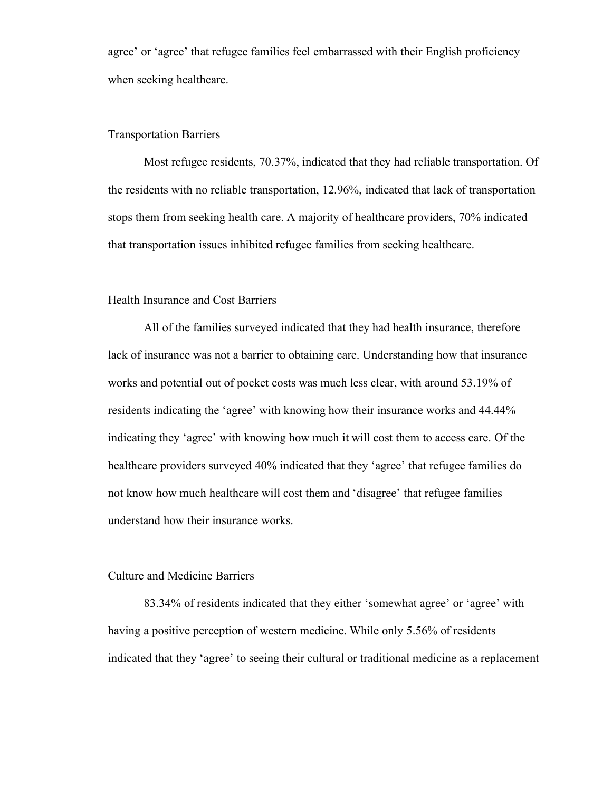agree' or 'agree' that refugee families feel embarrassed with their English proficiency when seeking healthcare.

## Transportation Barriers

Most refugee residents, 70.37%, indicated that they had reliable transportation. Of the residents with no reliable transportation, 12.96%, indicated that lack of transportation stops them from seeking health care. A majority of healthcare providers, 70% indicated that transportation issues inhibited refugee families from seeking healthcare.

#### Health Insurance and Cost Barriers

All of the families surveyed indicated that they had health insurance, therefore lack of insurance was not a barrier to obtaining care. Understanding how that insurance works and potential out of pocket costs was much less clear, with around 53.19% of residents indicating the 'agree' with knowing how their insurance works and 44.44% indicating they 'agree' with knowing how much it will cost them to access care. Of the healthcare providers surveyed 40% indicated that they 'agree' that refugee families do not know how much healthcare will cost them and 'disagree' that refugee families understand how their insurance works.

#### Culture and Medicine Barriers

83.34% of residents indicated that they either 'somewhat agree' or 'agree' with having a positive perception of western medicine. While only 5.56% of residents indicated that they 'agree' to seeing their cultural or traditional medicine as a replacement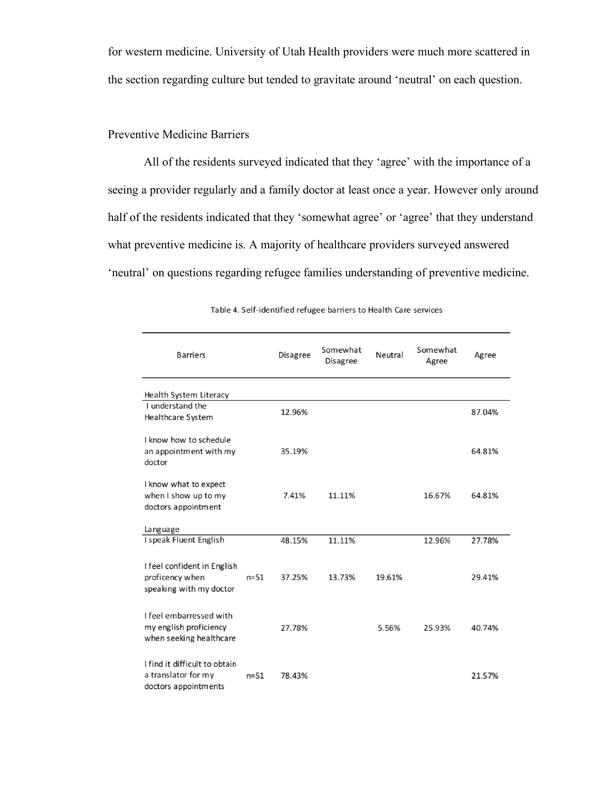for western medicine. University of Utah Health providers were much more scattered in the section regarding culture but tended to gravitate around 'neutral' on each question.

# Preventive Medicine Barriers

All of the residents surveyed indicated that they 'agree' with the importance of a seeing a provider regularly and a family doctor at least once a year. However only around half of the residents indicated that they 'somewhat agree' or 'agree' that they understand what preventive medicine is. A majority of healthcare providers surveyed answered 'neutral' on questions regarding refugee families understanding of preventive medicine.

| <b>Barriers</b>                                                              |          | <b>Disagree</b> | Somewhat<br><b>Disagree</b> | Neutral | Somewhat<br>Agree | Agree  |
|------------------------------------------------------------------------------|----------|-----------------|-----------------------------|---------|-------------------|--------|
| Health System Literacy                                                       |          |                 |                             |         |                   |        |
| I understand the<br>Healthcare System                                        |          | 12.96%          |                             |         |                   | 87.04% |
| I know how to schedule<br>an appointment with my<br>doctor                   |          | 35.19%          |                             |         |                   | 64.81% |
| I know what to expect<br>when I show up to my<br>doctors appointment         |          | 7.41%           | 11.11%                      |         | 16.67%            | 64.81% |
| Language                                                                     |          |                 |                             |         |                   |        |
| I speak Fluent English                                                       |          | 48.15%          | 11.11%                      |         | 12.96%            | 27.78% |
| I feel confident in English<br>proficency when<br>speaking with my doctor    | $n = 51$ | 37.25%          | 13.73%                      | 19.61%  |                   | 29.41% |
| I feel embarressed with<br>my english proficiency<br>when seeking healthcare |          | 27.78%          |                             | 5.56%   | 25.93%            | 40.74% |
| I find it difficult to obtain<br>a translator for my<br>doctors appointments | $n = 51$ | 78.43%          |                             |         |                   | 21.57% |

Table 4. Self-identified refugee barriers to Health Care services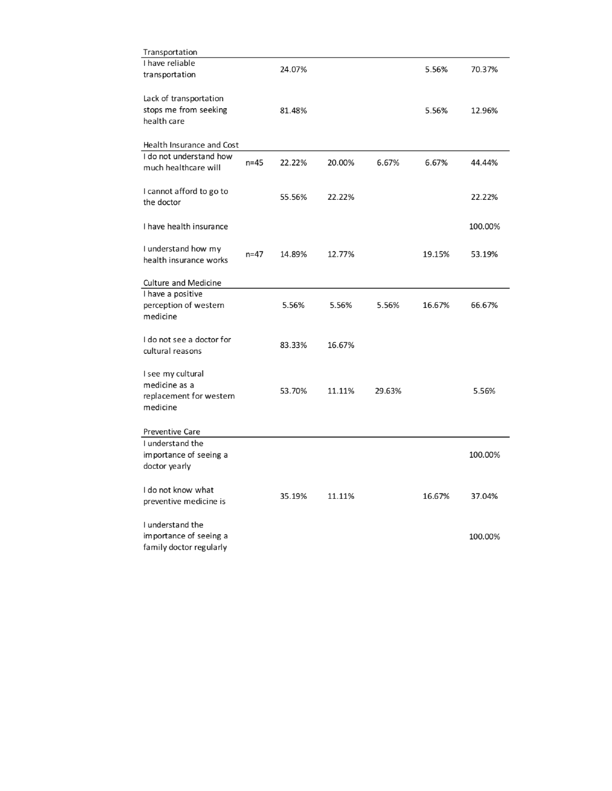| Transportation                                                            |          |        |        |        |        |         |
|---------------------------------------------------------------------------|----------|--------|--------|--------|--------|---------|
| I have reliable<br>transportation                                         |          | 24.07% |        |        | 5.56%  | 70.37%  |
| Lack of transportation<br>stops me from seeking<br>health care            |          | 81.48% |        |        | 5.56%  | 12.96%  |
| Health Insurance and Cost                                                 |          |        |        |        |        |         |
| I do not understand how<br>much healthcare will                           | $n = 45$ | 22.22% | 20.00% | 6.67%  | 6.67%  | 44.44%  |
| I cannot afford to go to<br>the doctor                                    |          | 55.56% | 22.22% |        |        | 22.22%  |
| I have health insurance                                                   |          |        |        |        |        | 100.00% |
| I understand how my<br>health insurance works                             | $n = 47$ | 14.89% | 12.77% |        | 19.15% | 53.19%  |
| Culture and Medicine                                                      |          |        |        |        |        |         |
| I have a positive<br>perception of western<br>medicine                    |          | 5.56%  | 5.56%  | 5.56%  | 16.67% | 66.67%  |
| I do not see a doctor for<br>cultural reasons                             |          | 83.33% | 16.67% |        |        |         |
| I see my cultural<br>medicine as a<br>replacement for western<br>medicine |          | 53.70% | 11.11% | 29.63% |        | 5.56%   |
| <b>Preventive Care</b>                                                    |          |        |        |        |        |         |
| I understand the<br>importance of seeing a<br>doctor yearly               |          |        |        |        |        | 100.00% |
| I do not know what<br>preventive medicine is                              |          | 35.19% | 11.11% |        | 16.67% | 37.04%  |
| I understand the<br>importance of seeing a<br>family doctor regularly     |          |        |        |        |        | 100.00% |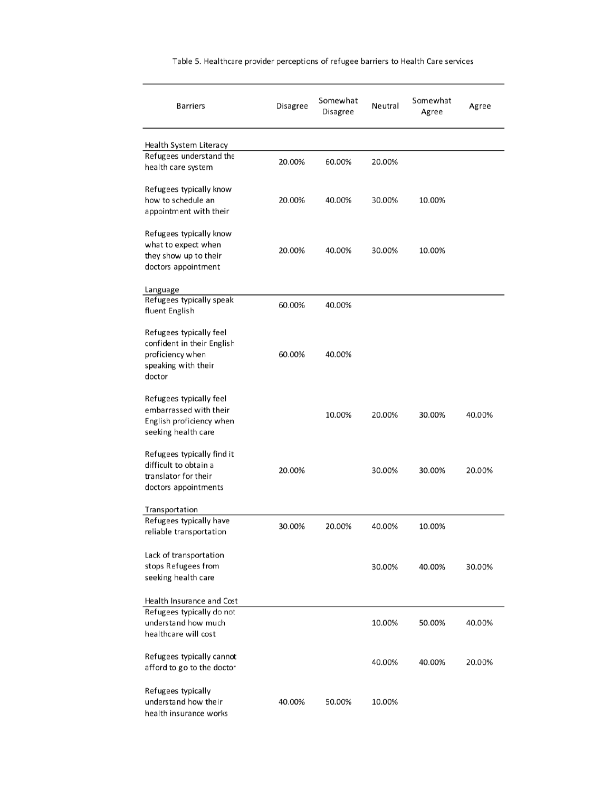| <b>Barriers</b>                                                                                            | Disagree | Somewhat<br>Disagree | Neutral | Somewhat<br>Agree | Agree  |
|------------------------------------------------------------------------------------------------------------|----------|----------------------|---------|-------------------|--------|
| Health System Literacy                                                                                     |          |                      |         |                   |        |
| Refugees understand the<br>health care system                                                              | 20.00%   | 60.00%               | 20.00%  |                   |        |
| Refugees typically know<br>how to schedule an<br>appointment with their                                    | 20.00%   | 40.00%               | 30.00%  | 10.00%            |        |
| Refugees typically know<br>what to expect when<br>they show up to their<br>doctors appointment             | 20.00%   | 40.00%               | 30.00%  | 10.00%            |        |
| Language                                                                                                   |          |                      |         |                   |        |
| Refugees typically speak<br>fluent English                                                                 | 60.00%   | 40.00%               |         |                   |        |
| Refugees typically feel<br>confident in their English<br>proficiency when<br>speaking with their<br>doctor | 60.00%   | 40.00%               |         |                   |        |
| Refugees typically feel<br>embarrassed with their<br>English proficiency when<br>seeking health care       |          | 10.00%               | 20.00%  | 30.00%            | 40.00% |
| Refugees typically find it<br>difficult to obtain a<br>translator for their<br>doctors appointments        | 20.00%   |                      | 30.00%  | 30.00%            | 20.00% |
| Transportation                                                                                             |          |                      |         |                   |        |
| Refugees typically have<br>reliable transportation                                                         | 30.00%   | 20.00%               | 40.00%  | 10.00%            |        |
| Lack of transportation<br>stops Refugees from<br>seeking health care                                       |          |                      | 30.00%  | 40.00%            | 30.00% |
| Health Insurance and Cost                                                                                  |          |                      |         |                   |        |
| Refugees typically do not<br>understand how much<br>healthcare will cost                                   |          |                      | 10.00%  | 50.00%            | 40.00% |
| Refugees typically cannot<br>afford to go to the doctor                                                    |          |                      | 40.00%  | 40.00%            | 20.00% |
| Refugees typically<br>understand how their<br>health insurance works                                       | 40.00%   | 50.00%               | 10.00%  |                   |        |

Table 5. Healthcare provider perceptions of refugee barriers to Health Care services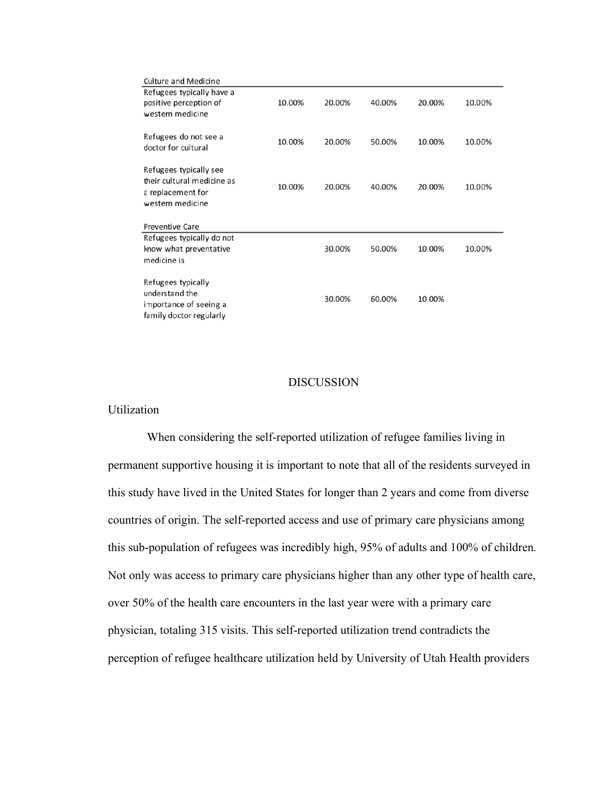| <b>Culture and Medicine</b>                                                                   |        |        |        |        |        |
|-----------------------------------------------------------------------------------------------|--------|--------|--------|--------|--------|
| Refugees typically have a                                                                     |        |        |        |        |        |
| positive perception of                                                                        | 10.00% | 20.00% | 40.00% | 20.00% | 10.00% |
| western medicine                                                                              |        |        |        |        |        |
| Refugees do not see a<br>doctor for cultural                                                  | 10.00% | 20.00% | 50.00% | 10.00% | 10.00% |
| Refugees typically see<br>their cultural medicine as<br>a replacement for<br>western medicine | 10.00% | 20.00% | 40.00% | 20.00% | 10.00% |
| <b>Preventive Care</b>                                                                        |        |        |        |        |        |
| Refugees typically do not                                                                     |        |        |        |        |        |
| know what preventative                                                                        |        | 30.00% | 50.00% | 10.00% | 10.00% |
| medicine is                                                                                   |        |        |        |        |        |
| Refugees typically<br>understand the<br>importance of seeing a<br>family doctor regularly     |        | 30.00% | 60.00% | 10.00% |        |

#### DISCUSSION

## Utilization

When considering the self-reported utilization of refugee families living in permanent supportive housing it is important to note that all of the residents surveyed in this study have lived in the United States for longer than 2 years and come from diverse countries of origin. The self-reported access and use of primary care physicians among this sub-population of refugees was incredibly high, 95% of adults and 100% of children. Not only was access to primary care physicians higher than any other type of health care, over 50% of the health care encounters in the last year were with a primary care physician, totaling 315 visits. This self-reported utilization trend contradicts the perception of refugee healthcare utilization held by University of Utah Health providers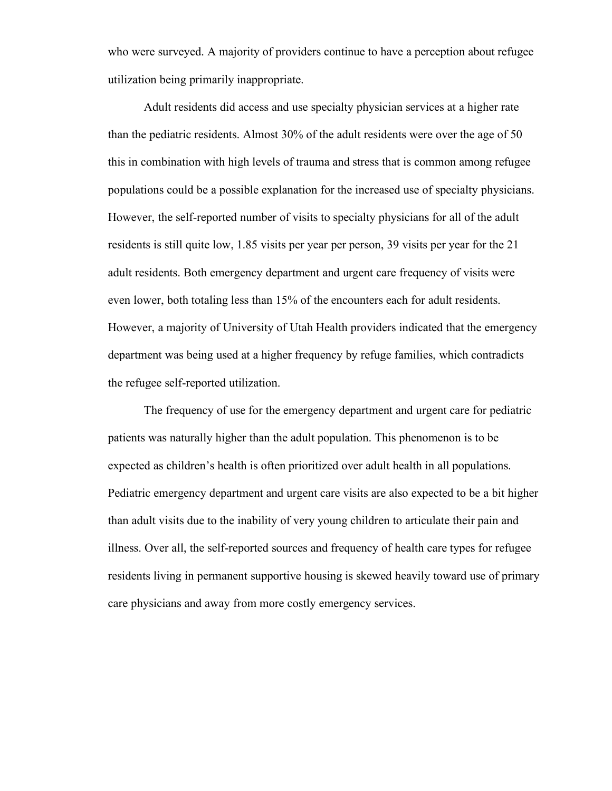who were surveyed. A majority of providers continue to have a perception about refugee utilization being primarily inappropriate.

Adult residents did access and use specialty physician services at a higher rate than the pediatric residents. Almost 30% of the adult residents were over the age of 50 this in combination with high levels of trauma and stress that is common among refugee populations could be a possible explanation for the increased use of specialty physicians. However, the self-reported number of visits to specialty physicians for all of the adult residents is still quite low, 1.85 visits per year per person, 39 visits per year for the 21 adult residents. Both emergency department and urgent care frequency of visits were even lower, both totaling less than 15% of the encounters each for adult residents. However, a majority of University of Utah Health providers indicated that the emergency department was being used at a higher frequency by refuge families, which contradicts the refugee self-reported utilization.

The frequency of use for the emergency department and urgent care for pediatric patients was naturally higher than the adult population. This phenomenon is to be expected as children's health is often prioritized over adult health in all populations. Pediatric emergency department and urgent care visits are also expected to be a bit higher than adult visits due to the inability of very young children to articulate their pain and illness. Over all, the self-reported sources and frequency of health care types for refugee residents living in permanent supportive housing is skewed heavily toward use of primary care physicians and away from more costly emergency services.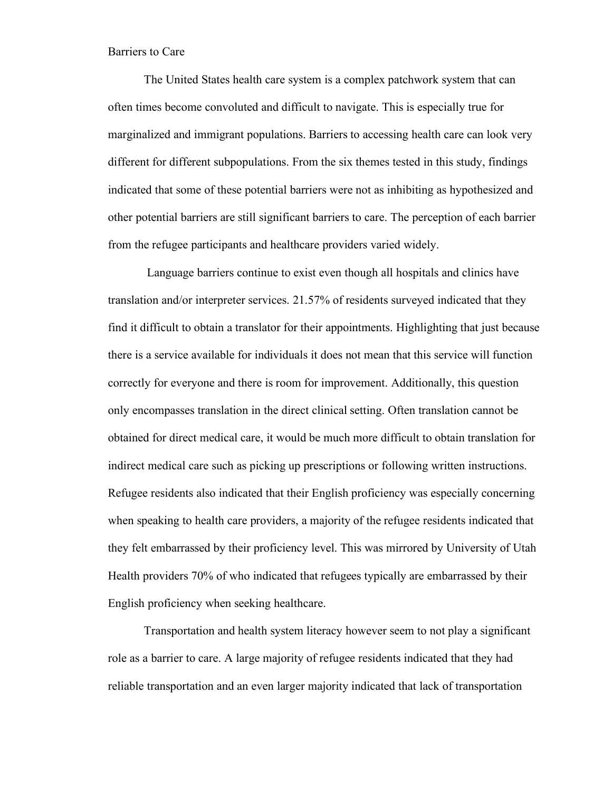#### Barriers to Care

The United States health care system is a complex patchwork system that can often times become convoluted and difficult to navigate. This is especially true for marginalized and immigrant populations. Barriers to accessing health care can look very different for different subpopulations. From the six themes tested in this study, findings indicated that some of these potential barriers were not as inhibiting as hypothesized and other potential barriers are still significant barriers to care. The perception of each barrier from the refugee participants and healthcare providers varied widely.

Language barriers continue to exist even though all hospitals and clinics have translation and/or interpreter services. 21.57% of residents surveyed indicated that they find it difficult to obtain a translator for their appointments. Highlighting that just because there is a service available for individuals it does not mean that this service will function correctly for everyone and there is room for improvement. Additionally, this question only encompasses translation in the direct clinical setting. Often translation cannot be obtained for direct medical care, it would be much more difficult to obtain translation for indirect medical care such as picking up prescriptions or following written instructions. Refugee residents also indicated that their English proficiency was especially concerning when speaking to health care providers, a majority of the refugee residents indicated that they felt embarrassed by their proficiency level. This was mirrored by University of Utah Health providers 70% of who indicated that refugees typically are embarrassed by their English proficiency when seeking healthcare.

Transportation and health system literacy however seem to not play a significant role as a barrier to care. A large majority of refugee residents indicated that they had reliable transportation and an even larger majority indicated that lack of transportation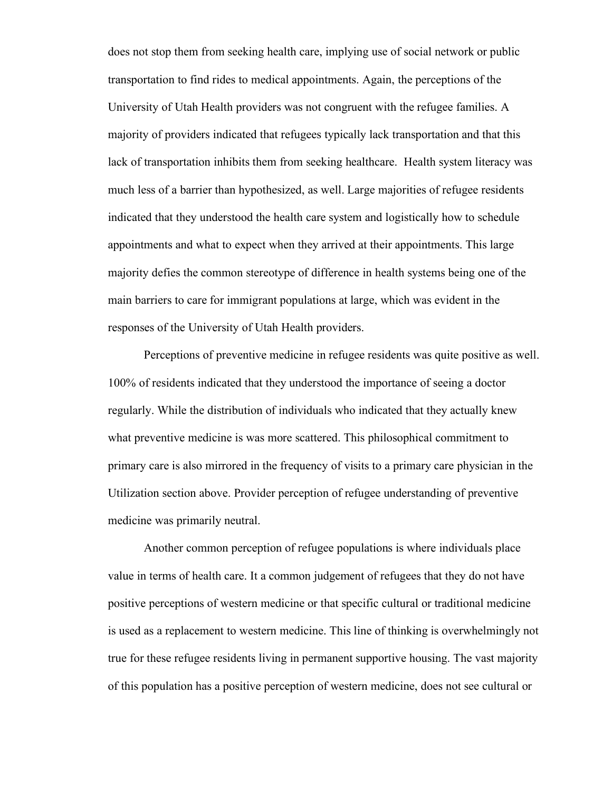does not stop them from seeking health care, implying use of social network or public transportation to find rides to medical appointments. Again, the perceptions of the University of Utah Health providers was not congruent with the refugee families. A majority of providers indicated that refugees typically lack transportation and that this lack of transportation inhibits them from seeking healthcare. Health system literacy was much less of a barrier than hypothesized, as well. Large majorities of refugee residents indicated that they understood the health care system and logistically how to schedule appointments and what to expect when they arrived at their appointments. This large majority defies the common stereotype of difference in health systems being one of the main barriers to care for immigrant populations at large, which was evident in the responses of the University of Utah Health providers.

Perceptions of preventive medicine in refugee residents was quite positive as well. 100% of residents indicated that they understood the importance of seeing a doctor regularly. While the distribution of individuals who indicated that they actually knew what preventive medicine is was more scattered. This philosophical commitment to primary care is also mirrored in the frequency of visits to a primary care physician in the Utilization section above. Provider perception of refugee understanding of preventive medicine was primarily neutral.

Another common perception of refugee populations is where individuals place value in terms of health care. It a common judgement of refugees that they do not have positive perceptions of western medicine or that specific cultural or traditional medicine is used as a replacement to western medicine. This line of thinking is overwhelmingly not true for these refugee residents living in permanent supportive housing. The vast majority of this population has a positive perception of western medicine, does not see cultural or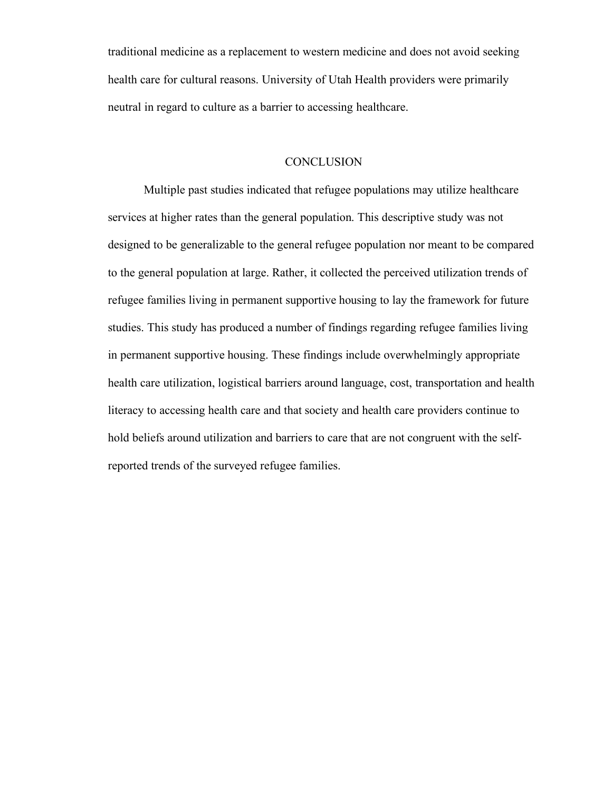traditional medicine as a replacement to western medicine and does not avoid seeking health care for cultural reasons. University of Utah Health providers were primarily neutral in regard to culture as a barrier to accessing healthcare.

#### **CONCLUSION**

Multiple past studies indicated that refugee populations may utilize healthcare services at higher rates than the general population. This descriptive study was not designed to be generalizable to the general refugee population nor meant to be compared to the general population at large. Rather, it collected the perceived utilization trends of refugee families living in permanent supportive housing to lay the framework for future studies. This study has produced a number of findings regarding refugee families living in permanent supportive housing. These findings include overwhelmingly appropriate health care utilization, logistical barriers around language, cost, transportation and health literacy to accessing health care and that society and health care providers continue to hold beliefs around utilization and barriers to care that are not congruent with the selfreported trends of the surveyed refugee families.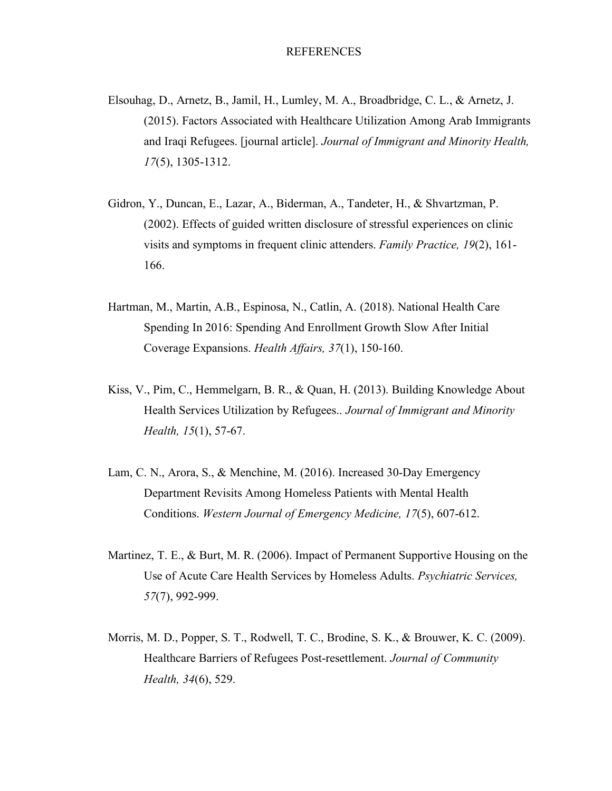- Elsouhag, D., Arnetz, B., Jamil, H., Lumley, M. A., Broadbridge, C. L., & Arnetz, J. (2015). Factors Associated with Healthcare Utilization Among Arab Immigrants and Iraqi Refugees. [journal article]. *Journal of Immigrant and Minority Health, 17*(5), 1305-1312.
- Gidron, Y., Duncan, E., Lazar, A., Biderman, A., Tandeter, H., & Shvartzman, P. (2002). Effects of guided written disclosure of stressful experiences on clinic visits and symptoms in frequent clinic attenders. *Family Practice, 19*(2), 161- 166.
- Hartman, M., Martin, A.B., Espinosa, N., Catlin, A. (2018). National Health Care Spending In 2016: Spending And Enrollment Growth Slow After Initial Coverage Expansions. *Health Affairs, 37*(1), 150-160.
- Kiss, V., Pim, C., Hemmelgarn, B. R., & Quan, H. (2013). Building Knowledge About Health Services Utilization by Refugees.. *Journal of Immigrant and Minority Health, 15*(1), 57-67.
- Lam, C. N., Arora, S., & Menchine, M. (2016). Increased 30-Day Emergency Department Revisits Among Homeless Patients with Mental Health Conditions. *Western Journal of Emergency Medicine, 17*(5), 607-612.
- Martinez, T. E., & Burt, M. R. (2006). Impact of Permanent Supportive Housing on the Use of Acute Care Health Services by Homeless Adults. *Psychiatric Services, 57*(7), 992-999.
- Morris, M. D., Popper, S. T., Rodwell, T. C., Brodine, S. K., & Brouwer, K. C. (2009). Healthcare Barriers of Refugees Post-resettlement. *Journal of Community Health, 34*(6), 529.